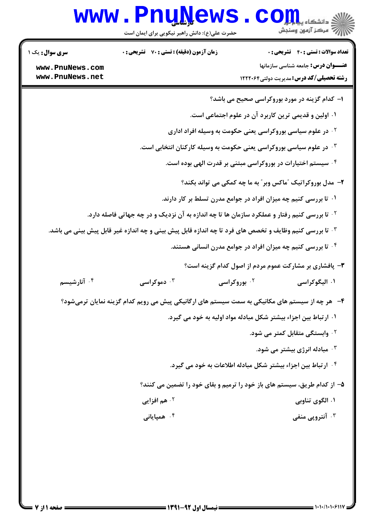## Www.PnuNews.com

حضرت علی(ع): دانش راهبر نیکویی برای ایمان است

| <b>سری سوال :</b> یک ۱                                           | <b>زمان آزمون (دقیقه) : تستی : 70 قشریحی : 0</b> | <b>تعداد سوالات : تستی : 40 قشریحی : 0</b>                                                                     |
|------------------------------------------------------------------|--------------------------------------------------|----------------------------------------------------------------------------------------------------------------|
| www.PnuNews.com                                                  |                                                  | عنـــوان درس: جامعه شناسی سازمانها                                                                             |
| www.PnuNews.net                                                  |                                                  | <b>رشته تحصیلی/کد درس:</b> مدیریت دولتی1۲۲۲۰۶۴                                                                 |
|                                                                  |                                                  | <b>ا</b> – کدام گزینه در مورد بوروکراسی صحیح می باشد؟                                                          |
|                                                                  |                                                  | ۰۱ اولین و قدیمی ترین کاربرد آن در علوم اجتماعی است.                                                           |
|                                                                  |                                                  | <sup>۰۲</sup> در علوم سیاسی بوروکراسی یعنی حکومت به وسیله افراد اداری                                          |
|                                                                  |                                                  | در علوم سیاسی بوروکراسی یعنی حکومت به وسیله کارکنان انتخابی است. $\cdot^{\mathrm{v}}$                          |
|                                                                  |                                                  | <sup>۴ .</sup> سیستم اختیارات در بوروکراسی مبتنی بر قدرت الهی بوده است.                                        |
|                                                                  |                                                  | ۲- مدل بوروکراتیک "ماکس وبر" به ما چه کمکی می تواند بکند؟                                                      |
|                                                                  |                                                  | ۰۱ تا بررسی کنیم چه میزان افراد در جوامع مدرن تسلط بر کار دارند.                                               |
|                                                                  |                                                  | <sup>۲ .</sup> تا بررسی کنیم رفتار و عملکرد سازمان ها تا چه اندازه به آن نزدیک و در چه جهاتی فاصله دارد.       |
|                                                                  |                                                  | ا تا بررسی کنیم وظایف و تخصص های فرد تا چه اندازه قابل پیش بینی و چه اندازه غیر قابل پیش بینی می باشد. $\cdot$ |
|                                                                  |                                                  | ۰۴ تا بررسی کنیم چه میزان افراد در جوامع مدرن انسانی هستند.                                                    |
|                                                                  |                                                  | ۰۳ پافشاری بر مشارکت عموم مردم از اصول کدام گزینه است؟                                                         |
| ۰ <sup>۴</sup> آنارشیسم                                          | ۰ <sup>۳</sup> دموکراسی                          | ۰۱ الیگوکراسی<br>۰ <sup>۲</sup> بوروکراسی                                                                      |
|                                                                  |                                                  | ۴–۔ هر چه از سیستم های مکانیکی به سمت سیستم های ارگانیکی پیش می رویم کدام گزینه نمایان ترمیشود؟                |
| ۰۱ ار تباط بین اجزاء بیشتر شکل مبادله مواد اولیه به خود می گیرد. |                                                  |                                                                                                                |
|                                                                  |                                                  | <sup>۲ .</sup> وابستگی متقابل کمتر می شود.                                                                     |
|                                                                  |                                                  | ۰ <sup>۳</sup> مبادله انرژی بیشتر می شود.                                                                      |
|                                                                  |                                                  | <sup>۰۴</sup> ارتباط بین اجزاء بیشتر شکل مبادله اطلاعات به خود می گیرد.                                        |
|                                                                  |                                                  | ۵– از کدام طریق، سیستم های باز خود را ترمیم و بقای خود را تضمین می کنند؟                                       |
|                                                                  | <b>10 هم افزايي</b>                              | ۰۱ الگوی تناوبی                                                                                                |
|                                                                  | ۰ <sup>۴</sup> همیایانی                          | ۰۳ آنتروپی منفی                                                                                                |
|                                                                  |                                                  |                                                                                                                |
|                                                                  |                                                  |                                                                                                                |
|                                                                  |                                                  |                                                                                                                |
|                                                                  |                                                  |                                                                                                                |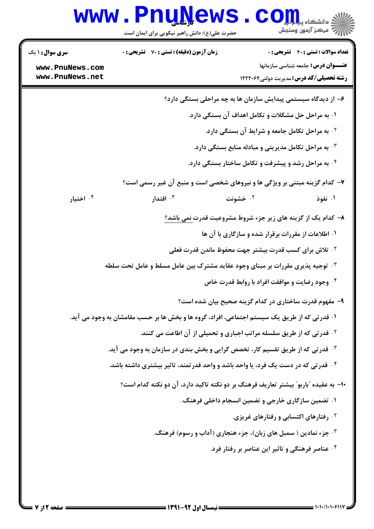## Www.PnuNews.com

| <b>سری سوال : ۱ یک</b> | <b>زمان آزمون (دقیقه) : تستی : 70 قشریحی : 0</b>                                             |          | <b>تعداد سوالات : تستی : 40 - تشریحی : 0</b>                                        |
|------------------------|----------------------------------------------------------------------------------------------|----------|-------------------------------------------------------------------------------------|
| www.PnuNews.com        |                                                                                              |          | <b>عنـــوان درس:</b> جامعه شناسی سازمانها                                           |
| www.PnuNews.net        |                                                                                              |          | <b>رشته تحصیلی/کد درس:</b> مدیریت دولتی1۲۲۲۰۶۴                                      |
|                        |                                                                                              |          | ۶– از دیدگاه سیستمی پیدایش سازمان ها به چه مراحلی بستگی دارد؟                       |
|                        |                                                                                              |          | ۰۱ به مراحل حل مشکلات و تکامل اهداف آن بستگی دارد.                                  |
|                        |                                                                                              |          | <sup>۲</sup> · به مراحل تکامل جامعه و شرایط آن بستگی دارد.                          |
|                        |                                                                                              |          | و سادله تراحل تکامل مدیریتی و مبادله منابع بستگی دارد. $\cdot$                      |
|                        |                                                                                              |          | <sup>۰۴</sup> به مراحل رشد و پیشرفت و تکامل ساختار بستگی دارد.                      |
|                        |                                                                                              |          | ۷- کدام گزینه مبتنی بر ویژگی ها و نیروهای شخصی است و منبع آن غیر رسمی است؟          |
| ۰۴ اختیار              | اقتدار $\cdot$                                                                               | ۰۲ خشونت | ۰۱ نفوذ                                                                             |
|                        |                                                                                              |          | ۸− کدام یک از گزینه های زیر جزء شروط مشروعیت قدرت <u>نمی</u> باشد؟                  |
|                        |                                                                                              |          | ۰۱ اطلاعات از مقررات برقرار شده و سازگاری با آن ها                                  |
|                        |                                                                                              |          | <sup>۲ .</sup> تلاش برای کسب قدرت بیشتر جهت محفوظ ماندن قدرت فعلی                   |
|                        | <b>4 - توجیه پذیری مقررات بر مبنای وجود عقاید مشترک بین عامل مسلط و عامل تحت سلطه</b>        |          |                                                                                     |
|                        |                                                                                              |          | ۰۴ وجود رضایت و موافقت افراد با روابط قدرت خاص                                      |
|                        |                                                                                              |          | ۹– مفهوم قدرت ساختاری در کدام گزینه صحیح بیان شده است؟                              |
|                        | ۰۱ قدرتی که از طریق یک سیستم اجتماعی، افراد، گروه ها و بخش ها بر حسب مقامشان به وجود می آید. |          |                                                                                     |
|                        |                                                                                              |          | <sup>۲ .</sup> قدرتی که از طریق سلسله مراتب اجباری و تحمیلی از آن اطاعت می کنند.    |
|                        | <b>۳ قدرتی که از طریق تقسیم کار، تخصص گرایی و بخش بندی در سازمان به وجود می آید.</b>         |          |                                                                                     |
|                        | ۰۴ قدرتی که در دست یک فرد، یا واحد باشد و واحد قدرتمند، تاثیر بیشتری داشته باشد.             |          |                                                                                     |
|                        |                                                                                              |          | ∙ا– به عقیده ″باربو″ بیشتر تعاریف فرهنگ بر دو نکته تاکید دارد، آن دو نکته کدام است؟ |
|                        |                                                                                              |          | ۰۱ تضمین سازگاری خارجی و تضمین انسجام داخلی فرهنگ.                                  |
|                        |                                                                                              |          | <sup>۲</sup> ۰ رفتارهای اکتسابی و رفتارهای غریزی.                                   |
|                        |                                                                                              |          | ۰۳ جزء نمادین ( سمبل های زبان)، جزء هنجاری (آداب و رسوم) فرهنگ.                     |
|                        |                                                                                              |          | ۰۴ عناصر فرهنگی و تاثیر این عناصر بر رفتار فرد.                                     |
|                        |                                                                                              |          |                                                                                     |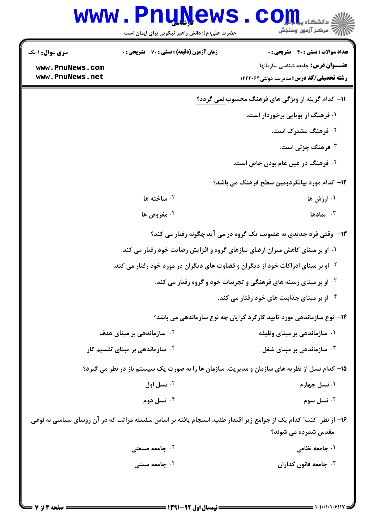|                                    | <b>www.PnuNews</b>                               | ی دانشگاه پیام <mark>تو</mark> ل<br>7- مرکز آزمهن وسنجش                                                         |
|------------------------------------|--------------------------------------------------|-----------------------------------------------------------------------------------------------------------------|
|                                    | حضرت علی(ع): دانش راهبر نیکویی برای ایمان است    |                                                                                                                 |
| سری سوال: ۱ یک                     | <b>زمان آزمون (دقیقه) : تستی : 70 گشریحی : 0</b> | <b>تعداد سوالات : تستی : 40 - تشریحی : 0</b>                                                                    |
| www.PnuNews.com<br>www.PnuNews.net |                                                  | <b>عنـــوان درس:</b> جامعه شناسی سازمانها<br><b>رشته تحصیلی/کد درس:</b> مدیریت دولتی1۲۲۲۰۶۴                     |
|                                    |                                                  |                                                                                                                 |
|                                    |                                                  | 11- کدام گزینه از ویژگی های فرهنگ محسوب نمی گردد؟                                                               |
|                                    |                                                  | ۰۱ فرهنگ از پویایی برخوردار است.                                                                                |
|                                    |                                                  | <b>۲ فرهنگ مشترک است.</b>                                                                                       |
|                                    |                                                  | ۰ <sup>۳</sup> فرهنگ جزئی است.                                                                                  |
|                                    |                                                  | ۰۴ فرهنگ در عین عام بودن خاص است.                                                                               |
|                                    |                                                  | ۱۲– کدام مورد بیانگردومین سطح فرهنگ می باشد؟                                                                    |
|                                    | ا ساخته ها $\cdot$                               | ۰۱ ارزش ها                                                                                                      |
|                                    | ۰۴ مفروض ها                                      | ا نمادها $\cdot$                                                                                                |
|                                    |                                                  | ۱۳- وقتی فرد جدیدی به عضویت یک گروه در می آید چگونه رفتار می کند؟                                               |
|                                    |                                                  | ۰۱ او بر مبنای کاهش میزان ارضای نیازهای گروه و افزایش رضایت خود رفتار می کند.                                   |
|                                    |                                                  | <sup>۲ .</sup> او بر مبنای ادراکات خود از دیگران و قضاوت های دیگران در مورد خود رفتار می کند.                   |
|                                    |                                                  | <b>۳۰ او بر مبنای زمینه های فرهنگی و تجربیات خود و گروه رفتار می کند.</b>                                       |
|                                    |                                                  | ۰۴ او بر مبنای جذابیت های خود رفتار می کند.                                                                     |
|                                    |                                                  | ۱۴- نوع سازماندهی مورد تایید کارکرد گرایان چه نوع سازماندهی می باشد؟                                            |
|                                    | ۰ <sup>۲</sup> سازماندهی بر مبنای هدف            | ۰۱ سازماندهی بر مبنای وظیفه                                                                                     |
|                                    | ۰ <sup>۴</sup> سازماندهی بر مبنای تقسیم کار      | ۰ <sup>۳</sup> سازماندهی بر مبنای شغل                                                                           |
|                                    |                                                  | ۱۵- کدام نسل از نظریه های سازمان و مدیریت، سازمان ها را به صورت یک سیستم باز در نظر می گیرد؟                    |
|                                    | نسل اول $\cdot$ ۲                                | ۰۱ نسل چهارم                                                                                                    |
|                                    | ۰۴ نسل دوم                                       | نسل سوم $\cdot$ "                                                                                               |
|                                    |                                                  | ۱۶– از نظر "کنت" کدام یک از جوامع زیر اقتدار طلب، انسجام یافته بر اساس سلسله مراتب که در آن روسای سیاسی به نوعی |
|                                    |                                                  | مقدس شمرده می شوند؟                                                                                             |
|                                    | ۰ <sup>۲</sup> جامعه صنعتی                       | ۰۱ جامعه نظامی                                                                                                  |
|                                    | ۰۴ جامعه سنتي                                    | ۰۳ جامعه قانون گذاران                                                                                           |
|                                    |                                                  |                                                                                                                 |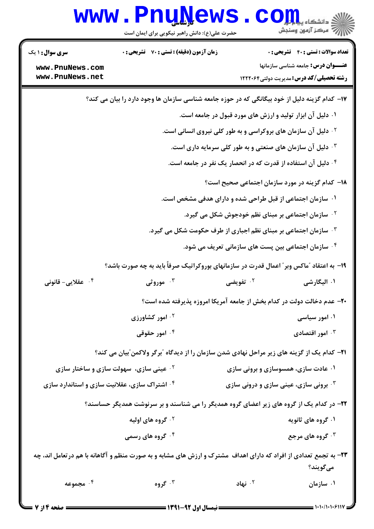|                                               | www.PnuNews<br>حضرت علی(ع): دانش راهبر نیکویی برای ایمان است | الاد دانشگاه پیام <mark>بر</mark><br>ال <sup>تن</sup> مرکز آزمون وسنجش                                                         |  |
|-----------------------------------------------|--------------------------------------------------------------|--------------------------------------------------------------------------------------------------------------------------------|--|
| <b>سری سوال : ۱ یک</b>                        | زمان آزمون (دقیقه) : تستی : 70 گشریحی : 0                    | <b>تعداد سوالات : تستی : 40 - تشریحی : 0</b>                                                                                   |  |
| www.PnuNews.com                               |                                                              | عنـــوان درس: جامعه شناسی سازمانها                                                                                             |  |
| www.PnuNews.net                               |                                                              | <b>رشته تحصیلی/کد درس:</b> مدیریت دولتی1۲۲۲۰۶۴                                                                                 |  |
|                                               |                                                              | ۱۷– کدام گزینه دلیل از خود بیگانگی که در حوزه جامعه شناسی سازمان ها وجود دارد را بیان می کند؟                                  |  |
|                                               |                                                              | ۰۱ دلیل آن ابزار تولید و ارزش های مورد قبول در جامعه است.                                                                      |  |
|                                               |                                                              | <sup>۲.</sup> دلیل آن سازمان های بروکراسی و به طور کلی نیروی انسانی است.                                                       |  |
|                                               |                                                              | دلیل آن سازمان های صنعتی و به طور کلی سرمایه داری است. $\cdot$                                                                 |  |
|                                               | ۰۴ دلیل آن استفاده از قدرت که در انحصار یک نفر در جامعه است. |                                                                                                                                |  |
|                                               |                                                              | <b>۱۸</b> - کدام گزینه در مورد سازمان اجتماعی صحیح است؟                                                                        |  |
|                                               |                                                              | ۰۱ سازمان اجتماعی از قبل طراحی شده و دارای هدفی مشخص است.                                                                      |  |
|                                               |                                                              | <sup>۲.</sup> سازمان اجتماعی بر مبنای نظم خودجوش شکل می گیرد.                                                                  |  |
|                                               |                                                              | ۰۳ سازمان اجتماعی بر مبنای نظم اجباری از طرف حکومت شکل می گیرد.                                                                |  |
|                                               |                                                              | <sup>۴.</sup> سازمان اجتماعی بین پست های سازمانی تعریف می شود.                                                                 |  |
|                                               |                                                              | ۱۹- به اعتقاد ″ماکس وبر″ اعمال قدرت در سازمانهای بوروکراتیک صرفاً باید به چه صورت باشد؟                                        |  |
| ۰ <sup>۴</sup> عقلایی- قانونی                 | ۰ <sup>۳</sup> موروثی                                        | ۰ <sup>۲</sup> تفویضی<br>۰۱ الیگارشی                                                                                           |  |
|                                               |                                                              | ۲۰– عدم دخالت دولت در کدام بخش از جامعه آمریکا امروزه پذیرفته شده است؟                                                         |  |
|                                               | <b>10 امور کشاورزی</b>                                       | ۰۱ امور سیاسی                                                                                                                  |  |
|                                               | ۰۴ امور حقوقی                                                | امور اقتصادی $\cdot$ ۳                                                                                                         |  |
|                                               |                                                              | <b>۲۱</b> - کدام یک از گزینه های زیر مراحل نهادی شدن سازمان را از دیدگاه "برگر ولاکمن"بیان می کند؟                             |  |
| <b>گ عینی سازی، سهولت سازی و ساختار سازی</b>  |                                                              | ۰۱ عادت سازی، همسوسازی و برونی سازی                                                                                            |  |
| ۰۴ اشتراک سازی، عقلانیت سازی و استاندارد سازی |                                                              | <b>۰۳ برونی سازی، عینی سازی و درونی سازی</b>                                                                                   |  |
|                                               |                                                              | ۲۲- در کدام یک از گروه های زیر اعضای گروه همدیگر را می شناسند و بر سرنوشت همدیگر حساسند؟                                       |  |
|                                               | <sup>۲ .</sup> گروه های اولیه                                | ۰۱ گروه های ثانویه                                                                                                             |  |
|                                               | ۰ <sup>۴ گ</sup> روه های رسمی                                | <b>۰۳ گروه های مرجع</b>                                                                                                        |  |
|                                               |                                                              |                                                                                                                                |  |
|                                               |                                                              | ۲۳- به تجمع تعدادی از افراد که دارای اهداف ًمشترک و ارزش های مشابه و به صورت منظم و آگاهانه با هم در تعامل اند، چه<br>مىگويند؟ |  |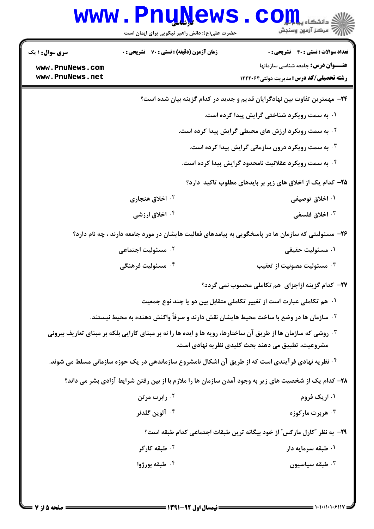| W W W                                                        | حضرت علی(ع): دانش راهبر نیکویی برای ایمان است                                                                        | دانشگاه پ <b>یای</b> ا<br>رِ ۖ مرڪز آزمون وسنڊش                                                                                             |
|--------------------------------------------------------------|----------------------------------------------------------------------------------------------------------------------|---------------------------------------------------------------------------------------------------------------------------------------------|
| <b>سری سوال :</b> ۱ یک<br>www.PnuNews.com<br>www.PnuNews.net | <b>زمان آزمون (دقیقه) : تستی : 70 ٪ تشریحی : 0</b>                                                                   | <b>تعداد سوالات : تستي : 40 - تشريحي : 0</b><br><b>عنـــوان درس:</b> جامعه شناسی سازمانها<br><b>رشته تحصیلی/کد درس:</b> مدیریت دولتی1۲۲۲۰۶۴ |
|                                                              |                                                                                                                      |                                                                                                                                             |
|                                                              |                                                                                                                      | <b>۲۴</b> - مهمترین تفاوت بین نهادگرایان قدیم و جدید در کدام گزینه بیان شده است؟                                                            |
|                                                              |                                                                                                                      | ۰۱ به سمت رویکرد شناختی گرایش پیدا کرده است.                                                                                                |
|                                                              |                                                                                                                      | <b>گ به سمت رویکرد ارزش های محیطی گرایش پیدا کرده است.</b>                                                                                  |
|                                                              |                                                                                                                      | ۰۳ به سمت رویکرد درون سازمانی گرایش پیدا کرده است.                                                                                          |
|                                                              |                                                                                                                      | ۰۴ به سمت رویکرد عقلانیت نامحدود گرایش پیدا کرده است.                                                                                       |
|                                                              |                                                                                                                      | ۲۵– کدام یک از اخلاق های زیر بر بایدهای مطلوب تاکید دارد؟                                                                                   |
|                                                              | ۰ <sup>۲</sup> اخلاق هنجاری                                                                                          | ۰۱ اخلاق توصیفی                                                                                                                             |
|                                                              | ۰۴ اخلاق ارزشی                                                                                                       | ۰ <sup>۳</sup> اخلاق فلسفی                                                                                                                  |
|                                                              | ۲۶– مسئولیتی که سازمان ها در پاسخگویی به پیامدهای فعالیت هایشان در مورد جامعه دارند ، چه نام دارد؟                   |                                                                                                                                             |
|                                                              | ۰ <sup>۲</sup> مسئولیت اجتماعی                                                                                       | ۰۱ مسئوليت حقيقي                                                                                                                            |
|                                                              | ۰ <sup>۴</sup> مسئولیت فرهنگی                                                                                        | شسئوليت مصونيت از تعقيب $\cdot^{\texttt{w}}$                                                                                                |
|                                                              |                                                                                                                      | <b>37- کدام گزینه ازاجزای هم تکاملی محسوب نمی گردد؟</b>                                                                                     |
|                                                              |                                                                                                                      | ۰۱ هم تکاملی عبارت است از تغییر تکاملی متقابل بین دو یا چند نوع جمعیت                                                                       |
|                                                              | <sup>۲</sup> ۰ سازمان ها در وضع با ساخت محیط هایشان نقش دارند و صرفاً واکنش دهنده به محیط نیستند.                    |                                                                                                                                             |
|                                                              | <b>۰۳ روشی که سازمان ها از طریق آن ساختارها، رویه ها و ایده ها را نه بر مبنای کارایی بلکه بر مبنای تعاریف بیرونی</b> | مشروعیت، تطبیق می دهند بحث کلیدی نظریه نهادی است.                                                                                           |
|                                                              | <sup>۴.</sup> نظریه نهادی فرآیندی است که از طریق آن اشکال نامشروع سازماندهی در یک حوزه سازمانی مسلط می شوند.         |                                                                                                                                             |
|                                                              | ۲۸– کدام یک از شخصیت های زیر به وجود آمدن سازمان ها را ملازم با از بین رفتن شرایط آزادی بشر می داند؟                 |                                                                                                                                             |
|                                                              | ۰۲ رابرت مرتن                                                                                                        | ۰۱ اریک فروم                                                                                                                                |
|                                                              | ۰ <sup>۴</sup> آلوین گلدنر                                                                                           | هربرت مارکوزه $\cdot^{\mathsf{y}}$                                                                                                          |
|                                                              |                                                                                                                      | ۲۹- به نظر "کارل مارکس" از خود بیگانه ترین طبقات اجتماعی کدام طبقه است؟                                                                     |
|                                                              | ۰ <sup>۲</sup> طبقه کارگر                                                                                            | ۰۱ طبقه سرمایه دار                                                                                                                          |
|                                                              | ۰۴ طبقه بورژوا                                                                                                       | طبقه سياسيون $\cdot$                                                                                                                        |
|                                                              |                                                                                                                      |                                                                                                                                             |

٦.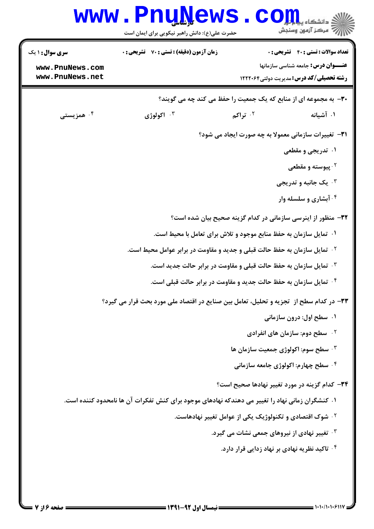| WWW                                                          | حضرت علی(ع): دانش راهبر نیکویی برای ایمان است                                                   | د دانشگاه پی <mark>ای</mark> ا<br>7' مرڪز آزمون وسنڊش                                                                                     |           |
|--------------------------------------------------------------|-------------------------------------------------------------------------------------------------|-------------------------------------------------------------------------------------------------------------------------------------------|-----------|
| <b>سری سوال :</b> ۱ یک<br>www.PnuNews.com<br>www.PnuNews.net | <b>زمان آزمون (دقیقه) : تستی : 70 گشریحی : 0</b>                                                | <b>تعداد سوالات : تستي : 40 قشريحي : 0</b><br><b>عنـــوان درس:</b> جامعه شناسی سازمانها<br><b>رشته تحصیلی/کد درس:</b> مدیریت دولتی1۲۲۲۰۶۴ |           |
|                                                              |                                                                                                 | ۳۰- به مجموعه ای از منابع که یک جمعیت را حفظ می کند چه می گویند؟                                                                          |           |
| ۰ <sup>۴</sup> همزیستی                                       | ۰ <sup>۳</sup> اکولوژی                                                                          | ۰۲ تراکم                                                                                                                                  | ۰۱ آشیانه |
|                                                              |                                                                                                 | <b>۳۱</b> - تغییرات سازمانی معمولا به چه صورت ایجاد می شود؟                                                                               |           |
|                                                              |                                                                                                 | ۰۱ تدریجی و مقطعی                                                                                                                         |           |
|                                                              |                                                                                                 | <sup>۲ .</sup> پیوسته و مقطعی                                                                                                             |           |
|                                                              |                                                                                                 | ۰۳ یک جانبه و تدریجی                                                                                                                      |           |
|                                                              |                                                                                                 | ۰۴ آبشاری و سلسله وار                                                                                                                     |           |
|                                                              |                                                                                                 | ۳۲– منظور از اینرسی سازمانی در کدام گزینه صحیح بیان شده است؟                                                                              |           |
|                                                              |                                                                                                 | ۰۱ تمایل سازمان به حفظ منابع موجود و تلاش برای تعامل با محیط است.                                                                         |           |
|                                                              |                                                                                                 | <sup>۲ .</sup> تمایل سازمان به حفظ حالت قبلی و جدید و مقاومت در برابر عوامل محیط است.                                                     |           |
|                                                              |                                                                                                 | ۰ <sup>۳ .</sup> تمایل سازمان به حفظ حالت قبلی و مقاومت در برابر حالت جدید است.                                                           |           |
|                                                              |                                                                                                 | ۰۴ تمایل سازمان به حفظ حالت جدید و مقاومت در برابر حالت قبلی است.                                                                         |           |
|                                                              | ۳۳– در کدام سطح از  تجزیه و تحلیل، تعامل بین صنایع در اقتصاد ملی مورد بحث قرار می گیرد؟         |                                                                                                                                           |           |
|                                                              |                                                                                                 | ۰۱ سطح اول: درون سازمانی                                                                                                                  |           |
|                                                              |                                                                                                 | <b>7 . سطح دوم: سازمان های انفرادی</b>                                                                                                    |           |
|                                                              |                                                                                                 | شطح سوم: اکولوژی جمعیت سازمان ها " $\cdot$                                                                                                |           |
|                                                              |                                                                                                 | ۰۴ سطح چهارم: اکولوژی جامعه سازمانی                                                                                                       |           |
|                                                              |                                                                                                 | ۳۴- کدام گزینه در مورد تغییر نهادها صحیح است؟                                                                                             |           |
|                                                              | ۰۱ کنشگران زمانی نهاد را تغییر می دهندکه نهادهای موجود برای کنش تفکرات آن ها نامحدود کننده است. |                                                                                                                                           |           |
|                                                              |                                                                                                 | <sup>۲</sup> ۰ شوک اقتصادی و تکنولوژیک یکی از عوامل تغییر نهادهاست.                                                                       |           |
|                                                              |                                                                                                 | <b>۳ تغییر نهادی از نیروهای جمعی نشات می گیرد.</b>                                                                                        |           |
|                                                              |                                                                                                 | <sup>۴.</sup> تاکید نظریه نهادی بر نهاد زدایی قرار دارد.                                                                                  |           |
|                                                              |                                                                                                 |                                                                                                                                           |           |
|                                                              |                                                                                                 |                                                                                                                                           |           |